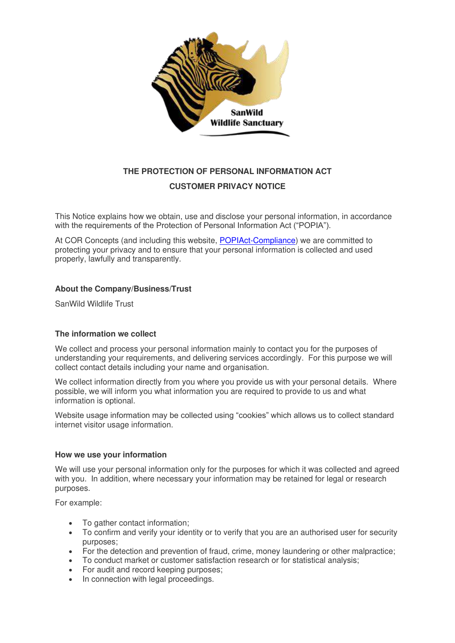

# **THE PROTECTION OF PERSONAL INFORMATION ACT CUSTOMER PRIVACY NOTICE**

This Notice explains how we obtain, use and disclose your personal information, in accordance with the requirements of the Protection of Personal Information Act ("POPIA").

At COR Concepts (and including this website, [POPIAct-Compliance\)](https://popia.co.za/) we are committed to protecting your privacy and to ensure that your personal information is collected and used properly, lawfully and transparently.

#### **About the Company/Business/Trust**

SanWild Wildlife Trust

#### **The information we collect**

We collect and process your personal information mainly to contact you for the purposes of understanding your requirements, and delivering services accordingly. For this purpose we will collect contact details including your name and organisation.

We collect information directly from you where you provide us with your personal details. Where possible, we will inform you what information you are required to provide to us and what information is optional.

Website usage information may be collected using "cookies" which allows us to collect standard internet visitor usage information.

#### **How we use your information**

We will use your personal information only for the purposes for which it was collected and agreed with you. In addition, where necessary your information may be retained for legal or research purposes.

For example:

- To gather contact information:
- To confirm and verify your identity or to verify that you are an authorised user for security purposes;
- For the detection and prevention of fraud, crime, money laundering or other malpractice;
- To conduct market or customer satisfaction research or for statistical analysis;
- For audit and record keeping purposes;
- In connection with legal proceedings.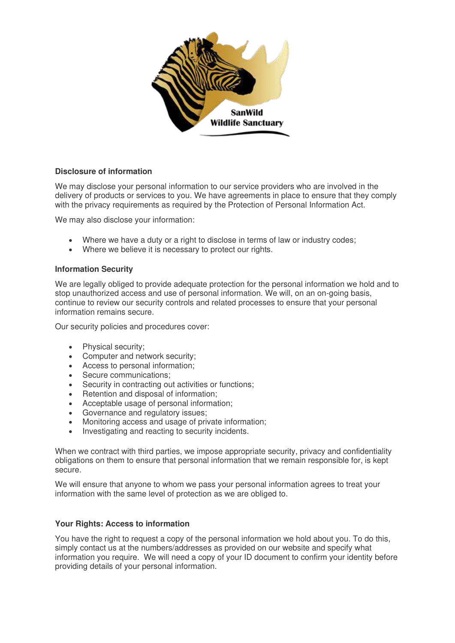

# **Disclosure of information**

We may disclose your personal information to our service providers who are involved in the delivery of products or services to you. We have agreements in place to ensure that they comply with the privacy requirements as required by the Protection of Personal Information Act.

We may also disclose your information:

- Where we have a duty or a right to disclose in terms of law or industry codes:
- Where we believe it is necessary to protect our rights.

#### **Information Security**

We are legally obliged to provide adequate protection for the personal information we hold and to stop unauthorized access and use of personal information. We will, on an on-going basis, continue to review our security controls and related processes to ensure that your personal information remains secure.

Our security policies and procedures cover:

- Physical security;
- Computer and network security;
- Access to personal information;
- Secure communications:
- Security in contracting out activities or functions:
- Retention and disposal of information;
- Acceptable usage of personal information;
- Governance and regulatory issues;
- Monitoring access and usage of private information;
- Investigating and reacting to security incidents.

When we contract with third parties, we impose appropriate security, privacy and confidentiality obligations on them to ensure that personal information that we remain responsible for, is kept secure.

We will ensure that anyone to whom we pass your personal information agrees to treat your information with the same level of protection as we are obliged to.

#### **Your Rights: Access to information**

You have the right to request a copy of the personal information we hold about you. To do this, simply contact us at the numbers/addresses as provided on our website and specify what information you require. We will need a copy of your ID document to confirm your identity before providing details of your personal information.